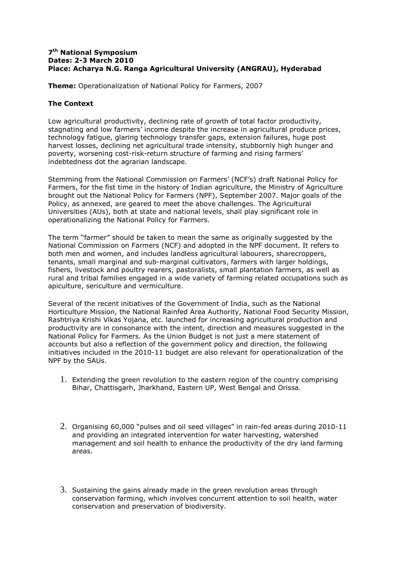#### **7 th National Symposium Dates: 2-3 March 2010 Place: Acharya N.G. Ranga Agricultural University (ANGRAU), Hyderabad**

**Theme:** Operationalization of National Policy for Farmers, 2007

### **The Context**

Low agricultural productivity, declining rate of growth of total factor productivity, stagnating and low farmers' income despite the increase in agricultural produce prices, technology fatigue, glaring technology transfer gaps, extension failures, huge post harvest losses, declining net agricultural trade intensity, stubbornly high hunger and poverty, worsening cost-risk-return structure of farming and rising farmers' indebtedness dot the agrarian landscape.

Stemming from the National Commission on Farmers' (NCF's) draft National Policy for Farmers, for the fist time in the history of Indian agriculture, the Ministry of Agriculture brought out the National Policy for Farmers (NPF), September 2007. Major goals of the Policy, as annexed, are geared to meet the above challenges. The Agricultural Universities (AUs), both at state and national levels, shall play significant role in operationalizing the National Policy for Farmers.

The term "farmer" should be taken to mean the same as originally suggested by the National Commission on Farmers (NCF) and adopted in the NPF document. It refers to both men and women, and includes landless agricultural labourers, sharecroppers, tenants, small marginal and sub-marginal cultivators, farmers with larger holdings, fishers, livestock and poultry rearers, pastoralists, small plantation farmers, as well as rural and tribal families engaged in a wide variety of farming related occupations such as apiculture, sericulture and vermiculture.

Several of the recent initiatives of the Government of India, such as the National Horticulture Mission, the National Rainfed Area Authority, National Food Security Mission, Rashtriya Krishi Vikas Yojana, etc. launched for increasing agricultural production and productivity are in consonance with the intent, direction and measures suggested in the National Policy for Farmers. As the Union Budget is not just a mere statement of accounts but also a reflection of the government policy and direction, the following initiatives included in the 2010-11 budget are also relevant for operationalization of the NPF by the SAUs.

- 1. Extending the green revolution to the eastern region of the country comprising Bihar, Chattisgarh, Jharkhand, Eastern UP, West Bengal and Orissa.
- 2. Organising 60,000 "pulses and oil seed villages" in rain-fed areas during 2010-11 and providing an integrated intervention for water harvesting, watershed management and soil health to enhance the productivity of the dry land farming areas.
- 3. Sustaining the gains already made in the green revolution areas through conservation farming, which involves concurrent attention to soil health, water conservation and preservation of biodiversity.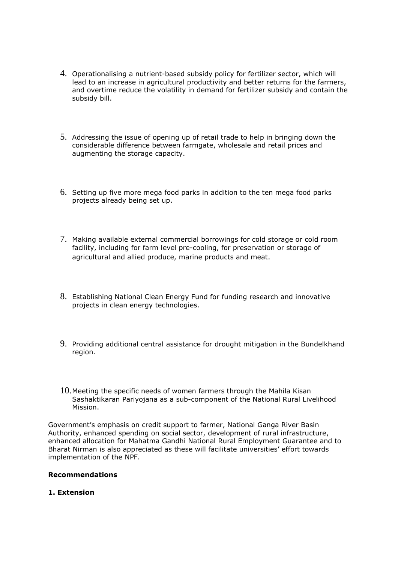- 4. Operationalising a nutrient-based subsidy policy for fertilizer sector, which will lead to an increase in agricultural productivity and better returns for the farmers, and overtime reduce the volatility in demand for fertilizer subsidy and contain the subsidy bill.
- 5. Addressing the issue of opening up of retail trade to help in bringing down the considerable difference between farmgate, wholesale and retail prices and augmenting the storage capacity.
- 6. Setting up five more mega food parks in addition to the ten mega food parks projects already being set up.
- 7. Making available external commercial borrowings for cold storage or cold room facility, including for farm level pre-cooling, for preservation or storage of agricultural and allied produce, marine products and meat.
- 8. Establishing National Clean Energy Fund for funding research and innovative projects in clean energy technologies.
- 9. Providing additional central assistance for drought mitigation in the Bundelkhand region.
- 10. Meeting the specific needs of women farmers through the Mahila Kisan Sashaktikaran Pariyojana as a sub-component of the National Rural Livelihood Mission.

Government's emphasis on credit support to farmer, National Ganga River Basin Authority, enhanced spending on social sector, development of rural infrastructure, enhanced allocation for Mahatma Gandhi National Rural Employment Guarantee and to Bharat Nirman is also appreciated as these will facilitate universities' effort towards implementation of the NPF.

#### **Recommendations**

#### **1. Extension**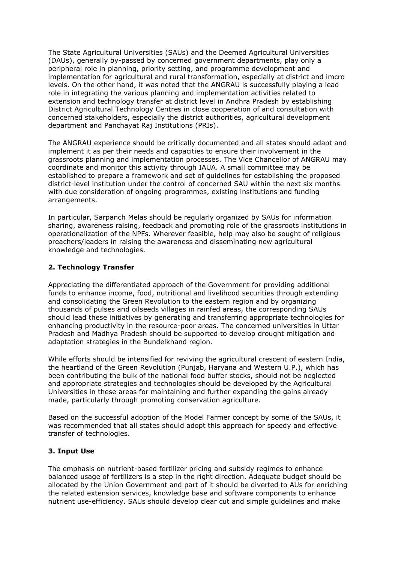The State Agricultural Universities (SAUs) and the Deemed Agricultural Universities (DAUs), generally by-passed by concerned government departments, play only a peripheral role in planning, priority setting, and programme development and implementation for agricultural and rural transformation, especially at district and imcro levels. On the other hand, it was noted that the ANGRAU is successfully playing a lead role in integrating the various planning and implementation activities related to extension and technology transfer at district level in Andhra Pradesh by establishing District Agricultural Technology Centres in close cooperation of and consultation with concerned stakeholders, especially the district authorities, agricultural development department and Panchayat Raj Institutions (PRIs).

The ANGRAU experience should be critically documented and all states should adapt and implement it as per their needs and capacities to ensure their involvement in the grassroots planning and implementation processes. The Vice Chancellor of ANGRAU may coordinate and monitor this activity through IAUA. A small committee may be established to prepare a framework and set of guidelines for establishing the proposed district-level institution under the control of concerned SAU within the next six months with due consideration of ongoing programmes, existing institutions and funding arrangements.

In particular, Sarpanch Melas should be regularly organized by SAUs for information sharing, awareness raising, feedback and promoting role of the grassroots institutions in operationalization of the NPFs. Wherever feasible, help may also be sought of religious preachers/leaders in raising the awareness and disseminating new agricultural knowledge and technologies.

### **2. Technology Transfer**

Appreciating the differentiated approach of the Government for providing additional funds to enhance income, food, nutritional and livelihood securities through extending and consolidating the Green Revolution to the eastern region and by organizing thousands of pulses and oilseeds villages in rainfed areas, the corresponding SAUs should lead these initiatives by generating and transferring appropriate technologies for enhancing productivity in the resource-poor areas. The concerned universities in Uttar Pradesh and Madhya Pradesh should be supported to develop drought mitigation and adaptation strategies in the Bundelkhand region.

While efforts should be intensified for reviving the agricultural crescent of eastern India, the heartland of the Green Revolution (Punjab, Haryana and Western U.P.), which has been contributing the bulk of the national food buffer stocks, should not be neglected and appropriate strategies and technologies should be developed by the Agricultural Universities in these areas for maintaining and further expanding the gains already made, particularly through promoting conservation agriculture.

Based on the successful adoption of the Model Farmer concept by some of the SAUs, it was recommended that all states should adopt this approach for speedy and effective transfer of technologies.

#### **3. Input Use**

The emphasis on nutrient-based fertilizer pricing and subsidy regimes to enhance balanced usage of fertilizers is a step in the right direction. Adequate budget should be allocated by the Union Government and part of it should be diverted to AUs for enriching the related extension services, knowledge base and software components to enhance nutrient use-efficiency. SAUs should develop clear cut and simple guidelines and make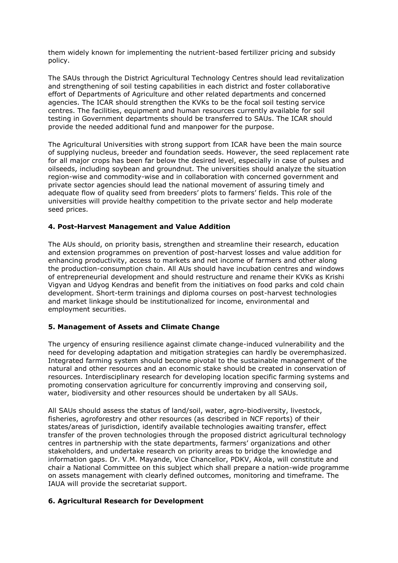them widely known for implementing the nutrient-based fertilizer pricing and subsidy policy.

The SAUs through the District Agricultural Technology Centres should lead revitalization and strengthening of soil testing capabilities in each district and foster collaborative effort of Departments of Agriculture and other related departments and concerned agencies. The ICAR should strengthen the KVKs to be the focal soil testing service centres. The facilities, equipment and human resources currently available for soil testing in Government departments should be transferred to SAUs. The ICAR should provide the needed additional fund and manpower for the purpose.

The Agricultural Universities with strong support from ICAR have been the main source of supplying nucleus, breeder and foundation seeds. However, the seed replacement rate for all major crops has been far below the desired level, especially in case of pulses and oilseeds, including soybean and groundnut. The universities should analyze the situation region-wise and commodity-wise and in collaboration with concerned government and private sector agencies should lead the national movement of assuring timely and adequate flow of quality seed from breeders' plots to farmers' fields. This role of the universities will provide healthy competition to the private sector and help moderate seed prices.

### **4. Post-Harvest Management and Value Addition**

The AUs should, on priority basis, strengthen and streamline their research, education and extension programmes on prevention of post-harvest losses and value addition for enhancing productivity, access to markets and net income of farmers and other along the production-consumption chain. All AUs should have incubation centres and windows of entrepreneurial development and should restructure and rename their KVKs as Krishi Vigyan and Udyog Kendras and benefit from the initiatives on food parks and cold chain development. Short-term trainings and diploma courses on post-harvest technologies and market linkage should be institutionalized for income, environmental and employment securities.

# **5. Management of Assets and Climate Change**

The urgency of ensuring resilience against climate change-induced vulnerability and the need for developing adaptation and mitigation strategies can hardly be overemphasized. Integrated farming system should become pivotal to the sustainable management of the natural and other resources and an economic stake should be created in conservation of resources. Interdisciplinary research for developing location specific farming systems and promoting conservation agriculture for concurrently improving and conserving soil, water, biodiversity and other resources should be undertaken by all SAUs.

All SAUs should assess the status of land/soil, water, agro-biodiversity, livestock, fisheries, agroforestry and other resources (as described in NCF reports) of their states/areas of jurisdiction, identify available technologies awaiting transfer, effect transfer of the proven technologies through the proposed district agricultural technology centres in partnership with the state departments, farmers' organizations and other stakeholders, and undertake research on priority areas to bridge the knowledge and information gaps. Dr. V.M. Mayande, Vice Chancellor, PDKV, Akola, will constitute and chair a National Committee on this subject which shall prepare a nation-wide programme on assets management with clearly defined outcomes, monitoring and timeframe. The IAUA will provide the secretariat support.

#### **6. Agricultural Research for Development**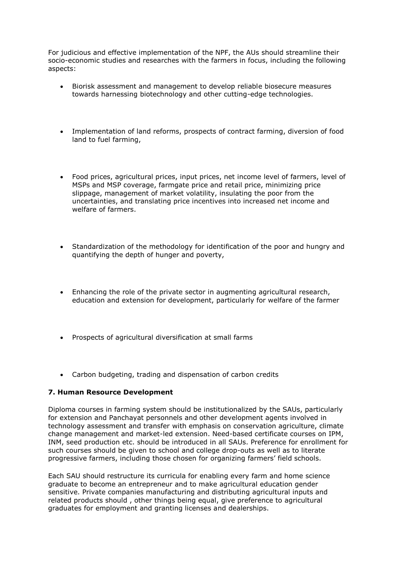For judicious and effective implementation of the NPF, the AUs should streamline their socio-economic studies and researches with the farmers in focus, including the following aspects:

- Biorisk assessment and management to develop reliable biosecure measures towards harnessing biotechnology and other cutting-edge technologies.
- Implementation of land reforms, prospects of contract farming, diversion of food land to fuel farming,
- Food prices, agricultural prices, input prices, net income level of farmers, level of MSPs and MSP coverage, farmgate price and retail price, minimizing price slippage, management of market volatility, insulating the poor from the uncertainties, and translating price incentives into increased net income and welfare of farmers.
- Standardization of the methodology for identification of the poor and hungry and quantifying the depth of hunger and poverty,
- Enhancing the role of the private sector in augmenting agricultural research, education and extension for development, particularly for welfare of the farmer
- Prospects of agricultural diversification at small farms
- Carbon budgeting, trading and dispensation of carbon credits

#### **7. Human Resource Development**

Diploma courses in farming system should be institutionalized by the SAUs, particularly for extension and Panchayat personnels and other development agents involved in technology assessment and transfer with emphasis on conservation agriculture, climate change management and market-led extension. Need-based certificate courses on IPM, INM, seed production etc. should be introduced in all SAUs. Preference for enrollment for such courses should be given to school and college drop-outs as well as to literate progressive farmers, including those chosen for organizing farmers' field schools.

Each SAU should restructure its curricula for enabling every farm and home science graduate to become an entrepreneur and to make agricultural education gender sensitive. Private companies manufacturing and distributing agricultural inputs and related products should , other things being equal, give preference to agricultural graduates for employment and granting licenses and dealerships.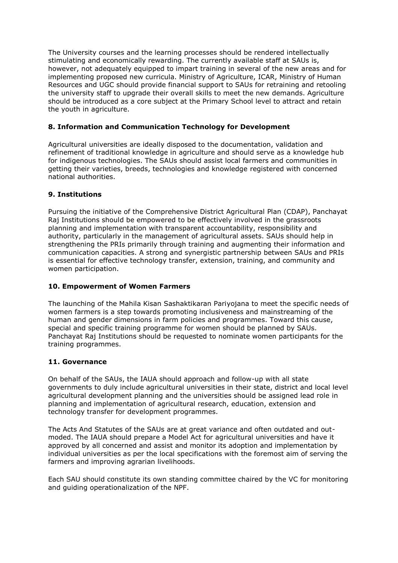The University courses and the learning processes should be rendered intellectually stimulating and economically rewarding. The currently available staff at SAUs is, however, not adequately equipped to impart training in several of the new areas and for implementing proposed new curricula. Ministry of Agriculture, ICAR, Ministry of Human Resources and UGC should provide financial support to SAUs for retraining and retooling the university staff to upgrade their overall skills to meet the new demands. Agriculture should be introduced as a core subject at the Primary School level to attract and retain the youth in agriculture.

# **8. Information and Communication Technology for Development**

Agricultural universities are ideally disposed to the documentation, validation and refinement of traditional knowledge in agriculture and should serve as a knowledge hub for indigenous technologies. The SAUs should assist local farmers and communities in getting their varieties, breeds, technologies and knowledge registered with concerned national authorities.

# **9. Institutions**

Pursuing the initiative of the Comprehensive District Agricultural Plan (CDAP), Panchayat Raj Institutions should be empowered to be effectively involved in the grassroots planning and implementation with transparent accountability, responsibility and authority, particularly in the management of agricultural assets. SAUs should help in strengthening the PRIs primarily through training and augmenting their information and communication capacities. A strong and synergistic partnership between SAUs and PRIs is essential for effective technology transfer, extension, training, and community and women participation.

# **10. Empowerment of Women Farmers**

The launching of the Mahila Kisan Sashaktikaran Pariyojana to meet the specific needs of women farmers is a step towards promoting inclusiveness and mainstreaming of the human and gender dimensions in farm policies and programmes. Toward this cause, special and specific training programme for women should be planned by SAUs. Panchayat Raj Institutions should be requested to nominate women participants for the training programmes.

# **11. Governance**

On behalf of the SAUs, the IAUA should approach and follow-up with all state governments to duly include agricultural universities in their state, district and local level agricultural development planning and the universities should be assigned lead role in planning and implementation of agricultural research, education, extension and technology transfer for development programmes.

The Acts And Statutes of the SAUs are at great variance and often outdated and outmoded. The IAUA should prepare a Model Act for agricultural universities and have it approved by all concerned and assist and monitor its adoption and implementation by individual universities as per the local specifications with the foremost aim of serving the farmers and improving agrarian livelihoods.

Each SAU should constitute its own standing committee chaired by the VC for monitoring and guiding operationalization of the NPF.